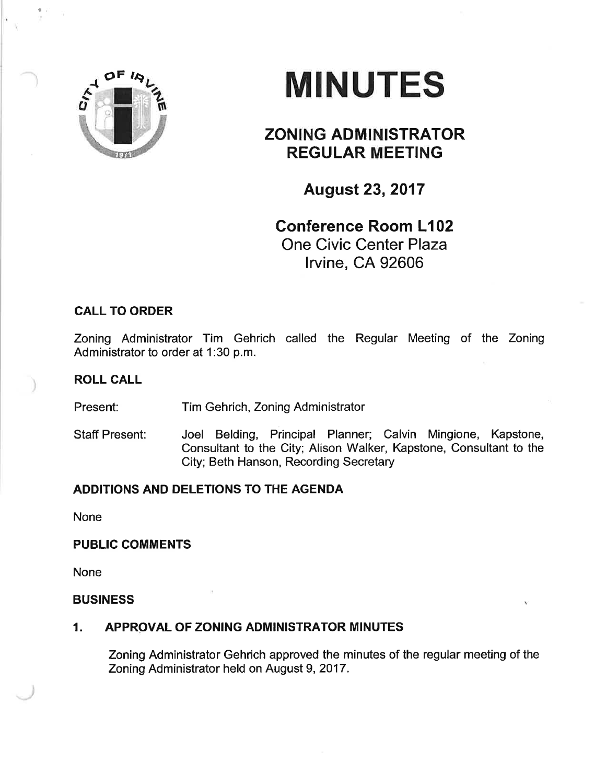

t

# **MINUTES**

# ZONING ADMINISTRATOR REGULAR MEETING

August 23,2017

## Gonference Room L102 One Civic Center Plaza lrvine, CA 92606

## CALL TO ORDER

Zoning Administrator Tim Gehrich called the Regular Meeting of the Zoning Administrator to order at 1:30 p.m.

### ROLL CALL

Present: Tim Gehrich, Zoning Administrator

Staff Present: Joel Belding, Principal Planner; Calvin Mingione, Kapstone, Consultant to the City; Alison Walker, Kapstone, Consultant to the City; Beth Hanson, Recording Secretary

#### ADDITIONS AND DELETIONS TO THE AGENDA

None

#### PUBLIC COMMENTS

None

#### BUSINESS

#### 1. APPROVAL OF ZONING ADMINISTRATOR MINUTES

Zoning Administrator Gehrich approved the mínutes of the regular meeting of the Zoning Administrator held on August 9,2017.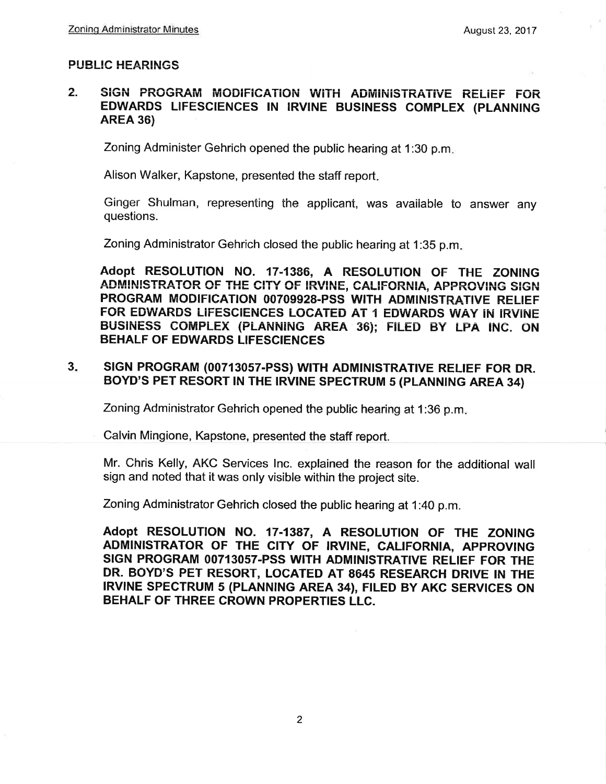#### **PUBLIC HEARINGS**

#### $2.$ SIGN PROGRAM MODIFICATION WITH ADMINISTRATIVE RELIEF FOR EDWARDS LIFESCIENCES IN IRVINE BUSINESS COMPLEX (PLANNING **AREA 36)**

Zoning Administer Gehrich opened the public hearing at 1:30 p.m.

Alison Walker, Kapstone, presented the staff report.

Ginger Shulman, representing the applicant, was available to answer any questions.

Zoning Administrator Gehrich closed the public hearing at 1:35 p.m.

Adopt RESOLUTION NO. 17-1386, A RESOLUTION OF THE ZONING ADMINISTRATOR OF THE CITY OF IRVINE, CALIFORNIA, APPROVING SIGN PROGRAM MODIFICATION 00709928-PSS WITH ADMINISTRATIVE RELIEF FOR EDWARDS LIFESCIENCES LOCATED AT 1 EDWARDS WAY IN IRVINE BUSINESS COMPLEX (PLANNING AREA 36); FILED BY LPA INC. ON **BEHALF OF EDWARDS LIFESCIENCES** 

#### SIGN PROGRAM (00713057-PSS) WITH ADMINISTRATIVE RELIEF FOR DR.  $3.$ BOYD'S PET RESORT IN THE IRVINE SPECTRUM 5 (PLANNING AREA 34)

Zoning Administrator Gehrich opened the public hearing at 1:36 p.m.

Calvin Mingione, Kapstone, presented the staff report.

Mr. Chris Kelly, AKC Services Inc. explained the reason for the additional wall sign and noted that it was only visible within the project site.

Zoning Administrator Gehrich closed the public hearing at 1:40 p.m.

Adopt RESOLUTION NO. 17-1387, A RESOLUTION OF THE ZONING ADMINISTRATOR OF THE CITY OF IRVINE, CALIFORNIA, APPROVING SIGN PROGRAM 00713057-PSS WITH ADMINISTRATIVE RELIEF FOR THE DR. BOYD'S PET RESORT, LOCATED AT 8645 RESEARCH DRIVE IN THE IRVINE SPECTRUM 5 (PLANNING AREA 34), FILED BY AKC SERVICES ON BEHALF OF THREE CROWN PROPERTIES LLC.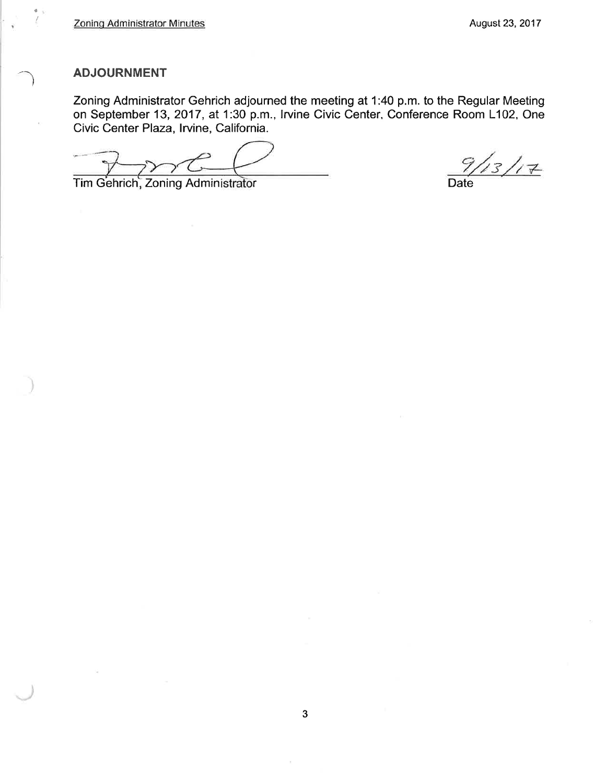#### **ADJOURNMENT**

a

Zoning Administrator Gehrich adjourned the meeting at 1:40 p.m. to the Regular Meeting on September 13,2017, at 1:30 p.m., lrvine Civic Center, Conference Room L102, One Civic Center Plaza, lryine, California.

۔<br>گ

Tim Gehrich, Zoning Administrator **Date**